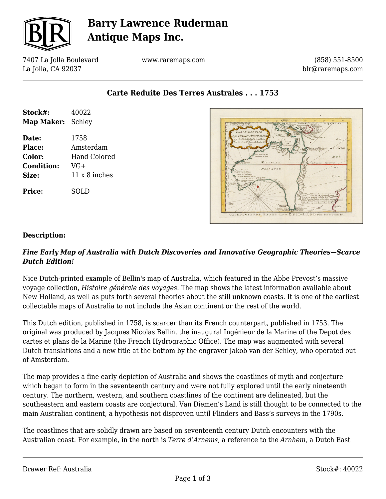

# **Barry Lawrence Ruderman Antique Maps Inc.**

7407 La Jolla Boulevard La Jolla, CA 92037

www.raremaps.com

(858) 551-8500 blr@raremaps.com

**Carte Reduite Des Terres Australes . . . 1753**

| Stock#:                  | 40022         |
|--------------------------|---------------|
| <b>Map Maker:</b> Schley |               |
| Date:                    | 1758          |
| Place:                   | Amsterdam     |
| <b>Color:</b>            | Hand Colored  |
| <b>Condition:</b>        | $VG+$         |
| <b>Size:</b>             | 11 x 8 inches |
| <b>Price:</b>            | SOLD          |



#### **Description:**

#### *Fine Early Map of Australia with Dutch Discoveries and Innovative Geographic Theories—Scarce Dutch Edition!*

Nice Dutch-printed example of Bellin's map of Australia, which featured in the Abbe Prevost's massive voyage collection, *Histoire générale des voyages*. The map shows the latest information available about New Holland, as well as puts forth several theories about the still unknown coasts. It is one of the earliest collectable maps of Australia to not include the Asian continent or the rest of the world.

This Dutch edition, published in 1758, is scarcer than its French counterpart, published in 1753. The original was produced by Jacques Nicolas Bellin, the inaugural Ingénieur de la Marine of the Depot des cartes et plans de la Marine (the French Hydrographic Office). The map was augmented with several Dutch translations and a new title at the bottom by the engraver Jakob van der Schley, who operated out of Amsterdam.

The map provides a fine early depiction of Australia and shows the coastlines of myth and conjecture which began to form in the seventeenth century and were not fully explored until the early nineteenth century. The northern, western, and southern coastlines of the continent are delineated, but the southeastern and eastern coasts are conjectural. Van Diemen's Land is still thought to be connected to the main Australian continent, a hypothesis not disproven until Flinders and Bass's surveys in the 1790s.

The coastlines that are solidly drawn are based on seventeenth century Dutch encounters with the Australian coast. For example, in the north is *Terre d'Arnems,* a reference to the *Arnhem,* a Dutch East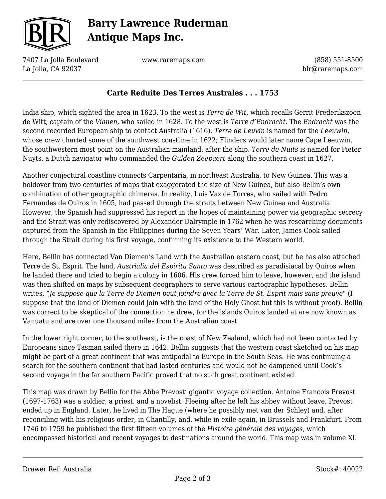

# **Barry Lawrence Ruderman Antique Maps Inc.**

7407 La Jolla Boulevard La Jolla, CA 92037

www.raremaps.com

(858) 551-8500 blr@raremaps.com

#### **Carte Reduite Des Terres Australes . . . 1753**

India ship, which sighted the area in 1623. To the west is *Terre de Wit,* which recalls Gerrit Frederikszoon de Witt, captain of the *Vianen,* who sailed in 1628. To the west is *Terre d'Endracht*. The *Endracht* was the second recorded European ship to contact Australia (1616). *Terre de Leuvin* is named for the *Leeuwin*, whose crew charted some of the southwest coastline in 1622; Flinders would later name Cape Leeuwin, the southwestern most point on the Australian mainland, after the ship. *Terre de Nuits* is named for Pieter Nuyts, a Dutch navigator who commanded the *Gulden Zeepaert* along the southern coast in 1627.

Another conjectural coastline connects Carpentaria, in northeast Australia, to New Guinea. This was a holdover from two centuries of maps that exaggerated the size of New Guinea, but also Bellin's own combination of other geographic chimeras. In reality, Luís Vaz de Torres, who sailed with Pedro Fernandes de Quiros in 1605, had passed through the straits between New Guinea and Australia. However, the Spanish had suppressed his report in the hopes of maintaining power via geographic secrecy and the Strait was only rediscovered by Alexander Dalrymple in 1762 when he was researching documents captured from the Spanish in the Philippines during the Seven Years' War. Later, James Cook sailed through the Strait during his first voyage, confirming its existence to the Western world.

Here, Bellin has connected Van Diemen's Land with the Australian eastern coast, but he has also attached Terre de St. Esprit. The land, *Austrialia del Espiritu Santo* was described as paradisiacal by Quiros when he landed there and tried to begin a colony in 1606. His crew forced him to leave, however, and the island was then shifted on maps by subsequent geographers to serve various cartographic hypotheses. Bellin writes, "*Je suppose que la Terre de Diemen peut joindre avec la Terre de St. Esprit mais sans preuve*" (I suppose that the land of Diemen could join with the land of the Holy Ghost but this is without proof). Bellin was correct to be skeptical of the connection he drew, for the islands Quiros landed at are now known as Vanuatu and are over one thousand miles from the Australian coast.

In the lower right corner, to the southeast, is the coast of New Zealand, which had not been contacted by Europeans since Tasman sailed there in 1642. Bellin suggests that the western coast sketched on his map might be part of a great continent that was antipodal to Europe in the South Seas. He was continuing a search for the southern continent that had lasted centuries and would not be dampened until Cook's second voyage in the far southern Pacific proved that no such great continent existed.

This map was drawn by Bellin for the Abbe Prevost' gigantic voyage collection. Antoine Francois Prevost (1697-1763) was a soldier, a priest, and a novelist. Fleeing after he left his abbey without leave, Prevost ended up in England. Later, he lived in The Hague (where he possibly met van der Schley) and, after reconciling with his religious order, in Chantilly, and, while in exile again, in Brussels and Frankfurt. From 1746 to 1759 he published the first fifteen volumes of the *Histoire générale des voyages,* which encompassed historical and recent voyages to destinations around the world. This map was in volume XI.